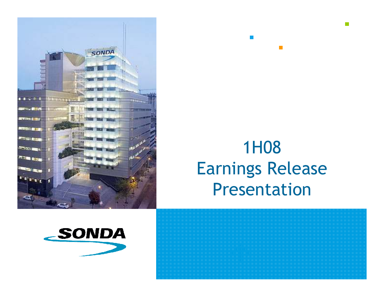

# 1H08 Earnings Release Presentation

 $\mathcal{L}_{\mathcal{A}}$ 



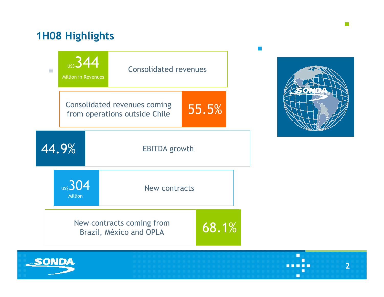# 1H08 Highlights

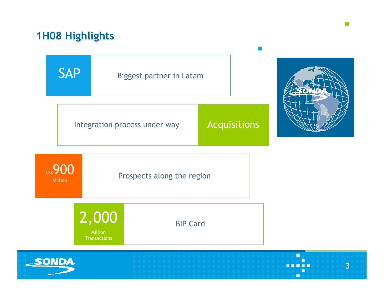## 1H08 Highlights



 $\sim$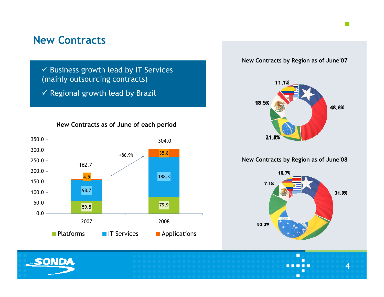## New Contracts

 $\checkmark$  Business growth lead by IT Services (mainly outsourcing contracts)

 $\checkmark$  Regional growth lead by Brazil

New Contracts as of June of each period



New Contracts by Region as of June'07



New Contracts by Region as of June'08



Г

4

 $\mathcal{L}_{\mathcal{A}}$ 

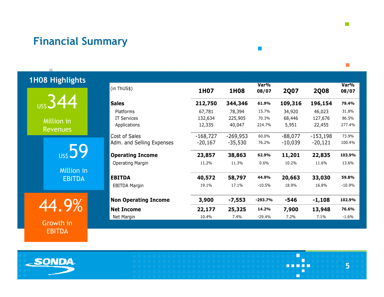## Financial Summary

|  |  | <b>1H08 Highlights</b> |  |
|--|--|------------------------|--|
|  |  |                        |  |

**US\$344** 

 Million inRevenues

**US\$59** 

 Million inEBITDA

44.9%

 Growth inEBITDA

| (in ThUS\$)                 | 1H07       | 1H08       | Var%<br>08/07 | <b>2Q07</b> | <b>2Q08</b> | Var%<br>08/07 |
|-----------------------------|------------|------------|---------------|-------------|-------------|---------------|
| <b>Sales</b>                | 212,750    | 344,346    | 61.9%         | 109,316     | 196,154     | 79.4%         |
| Platforms                   | 67,781     | 78,394     | 15.7%         | 34,920      | 46,023      | 31.8%         |
| <b>IT Services</b>          | 132,634    | 225,905    | 70.3%         | 68,446      | 127,676     | 86.5%         |
| Applications                | 12,335     | 40,047     | 224.7%        | 5,951       | 22,455      | 277.4%        |
| Cost of Sales               | $-168,727$ | $-269,953$ | 60.0%         | $-88,077$   | $-153,198$  | 73.9%         |
| Adm. and Selling Expenses   | $-20,167$  | $-35,530$  | 76.2%         | $-10,039$   | $-20,121$   | 100.4%        |
| <b>Operating Income</b>     | 23,857     | 38,863     | 62.9%         | 11,201      | 22,835      | 103.9%        |
| <b>Operating Margin</b>     | 11.2%      | 11.3%      | 0.6%          | 10.2%       | 11.6%       | 13.6%         |
| <b>EBITDA</b>               | 40,572     | 58,797     | 44.9%         | 20,663      | 33,030      | 59.8%         |
| <b>EBITDA Margin</b>        | 19.1%      | 17.1%      | $-10.5%$      | 18.9%       | 16.8%       | $-10.9%$      |
| <b>Non Operating Income</b> | 3,900      | $-7,553$   | $-293.7%$     | -546        | $-1,108$    | 102.9%        |
| <b>Net Income</b>           | 22,177     | 25,325     | 14.2%         | 7,900       | 13,948      | 76.6%         |
| Net Margin                  | 10.4%      | 7.4%       | $-29.4%$      | 7.2%        | 7.1%        | $-1.6%$       |

 $\mathcal{C}^{\mathcal{A}}$ 

 $\overline{\phantom{a}}$ 



n. 5----П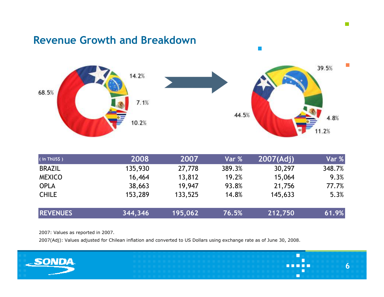## Revenue Growth and Breakdown



 $\overline{\mathcal{C}}$ 

| (in ThUS\$)     | 2008    | 2007    | Var %  | 2007(Adj) | Var %  |
|-----------------|---------|---------|--------|-----------|--------|
| <b>BRAZIL</b>   | 135,930 | 27,778  | 389.3% | 30,297    | 348.7% |
| <b>MEXICO</b>   | 16,464  | 13,812  | 19.2%  | 15,064    | 9.3%   |
| <b>OPLA</b>     | 38,663  | 19,947  | 93.8%  | 21,756    | 77.7%  |
| <b>CHILE</b>    | 153,289 | 133,525 | 14.8%  | 145,633   | 5.3%   |
| <b>REVENUES</b> | 344,346 | 195,062 | 76.5%  | 212,750   | 61.9%  |

2007: Values as reported in 2007.

2007(Adj): Values adjusted for Chilean inflation and converted to US Dollars using exchange rate as of June 30, 2008.

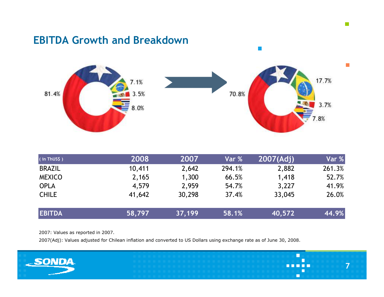## EBITDA Growth and Breakdown



 $\mathbb{R}^3$ 

| (in ThUS\$)   | 2008   | 2007   | Var %  | 2007(Ad) | Var %  |
|---------------|--------|--------|--------|----------|--------|
| <b>BRAZIL</b> | 10,411 | 2,642  | 294.1% | 2,882    | 261.3% |
| <b>MEXICO</b> | 2,165  | 1,300  | 66.5%  | 1,418    | 52.7%  |
| <b>OPLA</b>   | 4,579  | 2,959  | 54.7%  | 3,227    | 41.9%  |
| <b>CHILE</b>  | 41,642 | 30,298 | 37.4%  | 33,045   | 26.0%  |
| <b>EBITDA</b> | 58,797 | 37,199 | 58.1%  | 40,572   | 44.9%  |

2007: Values as reported in 2007.

2007(Adj): Values adjusted for Chilean inflation and converted to US Dollars using exchange rate as of June 30, 2008.

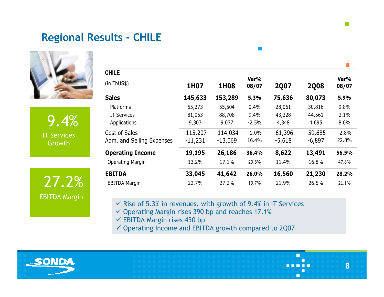## Regional Results - CHILE



9.4% IT Services Growth

 $27.2\%$  EBITDA Margin EBITDA Margin

| <b>CHILE</b><br>(in ThUS\$) |            |            | Var%    |             |             | Var%    |
|-----------------------------|------------|------------|---------|-------------|-------------|---------|
|                             | 1H07       | 1H08       | 08/07   | <b>2Q07</b> | <b>2Q08</b> | 08/07   |
| <b>Sales</b>                | 145,633    | 153,289    | 5.3%    | 75,636      | 80,073      | 5.9%    |
| Platforms                   | 55,273     | 55,504     | 0.4%    | 28,061      | 30,816      | 9.8%    |
| IT Services                 | 81,053     | 88,708     | 9.4%    | 43,228      | 44,561      | 3.1%    |
| Applications                | 9,307      | 9,077      | $-2.5%$ | 4,348       | 4,695       | 8.0%    |
| Cost of Sales               | $-115,207$ | $-114,034$ | $-1.0%$ | $-61,396$   | $-59,685$   | $-2.8%$ |
| Adm. and Selling Expenses   | $-11,231$  | $-13,069$  | 16.4%   | $-5,618$    | $-6,897$    | 22.8%   |
| <b>Operating Income</b>     | 19,195     | 26,186     | 36.4%   | 8,622       | 13,491      | 56.5%   |
| <b>Operating Margin</b>     | 13.2%      | 17.1%      | 29.6%   | 11.4%       | 16.8%       | 47.8%   |
| <b>EBITDA</b>               | 33,045     | 41,642     | 26.0%   | 16,560      | 21,230      | 28.2%   |
| <b>EBITDA Margin</b>        | 22.7%      | 27.2%      | 19.7%   | 21.9%       | 26.5%       | 21.1%   |

8

П

 $\checkmark$  Rise of 5.3% in revenues, with growth of 9.4% in IT Services

 $\checkmark$  Operating Margin rises 390 bp and reaches 17.1%

EBITDA Margin rises 450 bp

 $\checkmark$  Operating Income and EBITDA growth compared to 2Q07

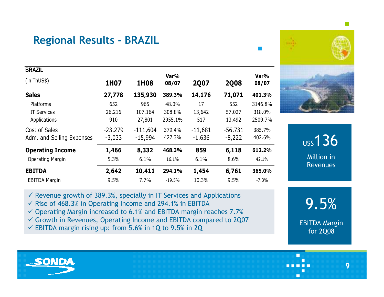## Regional Results - BRAZIL

| <b>BRAZIL</b>             |           |            |               |             |             |               |
|---------------------------|-----------|------------|---------------|-------------|-------------|---------------|
| (in ThUS\$)               | 1H07      | 1H08       | Var%<br>08/07 | <b>2Q07</b> | <b>2Q08</b> | Var%<br>08/07 |
| <b>Sales</b>              | 27,778    | 135,930    | 389.3%        | 14,176      | 71,071      | 401.3%        |
| Platforms                 | 652       | 965        | 48.0%         | 17          | 552         | 3146.8%       |
| <b>IT Services</b>        | 26,216    | 107,164    | 308.8%        | 13,642      | 57,027      | 318.0%        |
| Applications              | 910       | 27,801     | 2955.1%       | 517         | 13,492      | 2509.7%       |
| Cost of Sales             | $-23,279$ | $-111,604$ | 379.4%        | $-11,681$   | $-56,731$   | 385.7%        |
| Adm. and Selling Expenses | $-3,033$  | $-15,994$  | 427.3%        | $-1,636$    | $-8,222$    | 402.6%        |
| <b>Operating Income</b>   | 1,466     | 8,332      | 468.3%        | 859         | 6,118       | 612.2%        |
| <b>Operating Margin</b>   | 5.3%      | 6.1%       | 16.1%         | 6.1%        | 8.6%        | 42.1%         |
| <b>EBITDA</b>             | 2,642     | 10,411     | 294.1%        | 1,454       | 6,761       | 365.0%        |
| <b>EBITDA Margin</b>      | 9.5%      | 7.7%       | $-19.5%$      | 10.3%       | 9.5%        | $-7.3\%$      |
|                           |           |            |               |             |             |               |

**US\$136**  Million inRevenues

 $\checkmark$  Revenue growth of 389.3%, specially in IT Services and Applications

- $\checkmark$  Rise of 468.3% in Operating Income and 294.1% in EBITDA
- $\checkmark$  Operating Margin increased to 6.1% and EBITDA margin reaches 7.7%
- $\checkmark$  Growth in Revenues, Operating Income and EBITDA compared to 2Q07
- $\checkmark$  EBITDA margin rising up: from 5.6% in 1Q to 9.5% in 2Q



 $\Box$ 

9.5%

9

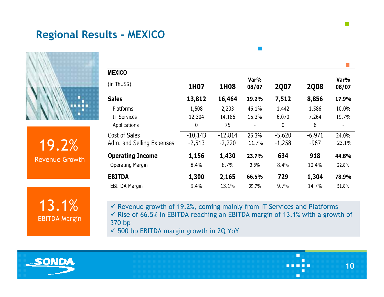## Regional Results - MEXICO



19.2%Revenue Growth

13.1%EBITDA Margin

| <b>MEXICO</b>             |           |             |               |             |             |               |
|---------------------------|-----------|-------------|---------------|-------------|-------------|---------------|
| (in ThUS\$)               | 1H07      | <b>1H08</b> | Var%<br>08/07 | <b>2Q07</b> | <b>2008</b> | Var%<br>08/07 |
| <b>Sales</b>              | 13,812    | 16,464      | 19.2%         | 7,512       | 8,856       | 17.9%         |
| Platforms                 | 1,508     | 2,203       | 46.1%         | 1,442       | 1,586       | 10.0%         |
| <b>IT Services</b>        | 12,304    | 14,186      | 15.3%         | 6,070       | 7,264       | 19.7%         |
| Applications              | 0         | 75          |               | 0           | 6           |               |
| Cost of Sales             | $-10,143$ | $-12,814$   | 26.3%         | $-5,620$    | $-6,971$    | 24.0%         |
| Adm. and Selling Expenses | $-2,513$  | $-2,220$    | $-11.7%$      | $-1,258$    | -967        | $-23.1%$      |
| <b>Operating Income</b>   | 1,156     | 1,430       | 23.7%         | 634         | 918         | 44.8%         |
| <b>Operating Margin</b>   | 8.4%      | 8.7%        | 3.8%          | 8.4%        | 10.4%       | 22.8%         |
| <b>EBITDA</b>             | 1,300     | 2,165       | 66.5%         | 729         | 1,304       | 78.9%         |
| <b>EBITDA Margin</b>      | 9.4%      | 13.1%       | 39.7%         | 9.7%        | 14.7%       | 51.8%         |

 $\sim$ 

 $\checkmark$  Revenue growth of 19.2%, coming mainly from IT Services and Platforms<br> $\checkmark$  Rise of 66.5% in FRITDA reaching an FRITDA margin of 42.4% with a grow  $\checkmark$  Rise of 66.5% in EBITDA reaching an EBITDA margin of 13.1% with a growth of  $270$  bp. 370 bp

 $\checkmark$  500 bp EBITDA margin growth in 2Q YoY



10

П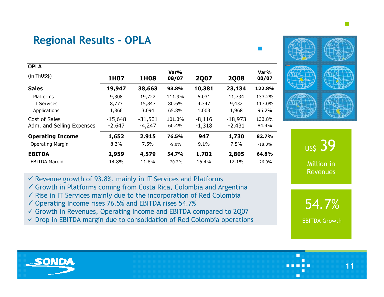# Regional Results - OPLA

|  | <b>STATE OF STATE OF STATE OF STATE OF STATE OF STATE OF STATE OF STATE OF STATE OF STATE OF STATE OF STATE OF S</b> |  |  |
|--|----------------------------------------------------------------------------------------------------------------------|--|--|
|  |                                                                                                                      |  |  |
|  |                                                                                                                      |  |  |
|  |                                                                                                                      |  |  |
|  |                                                                                                                      |  |  |
|  |                                                                                                                      |  |  |
|  |                                                                                                                      |  |  |

| <b>OPLA</b>               |           |           |               |             |             |               |
|---------------------------|-----------|-----------|---------------|-------------|-------------|---------------|
| (in ThUS\$)               | 1H07      | 1H08      | Var%<br>08/07 | <b>2Q07</b> | <b>2Q08</b> | Var%<br>08/07 |
| <b>Sales</b>              | 19,947    | 38,663    | 93.8%         | 10,381      | 23,134      | 122.8%        |
| Platforms                 | 9,308     | 19,722    | 111.9%        | 5,031       | 11,734      | 133.2%        |
| <b>IT Services</b>        | 8,773     | 15,847    | 80.6%         | 4,347       | 9,432       | 117.0%        |
| Applications              | 1,866     | 3,094     | 65.8%         | 1,003       | 1,968       | 96.2%         |
| Cost of Sales             | $-15,648$ | $-31,501$ | 101.3%        | $-8,116$    | $-18,973$   | 133.8%        |
| Adm. and Selling Expenses | $-2,647$  | $-4,247$  | 60.4%         | $-1,318$    | $-2,431$    | 84.4%         |
| <b>Operating Income</b>   | 1,652     | 2,915     | 76.5%         | 947         | 1,730       | 82.7%         |
| <b>Operating Margin</b>   | 8.3%      | 7.5%      | $-9.0%$       | 9.1%        | 7.5%        | $-18.0\%$     |
| <b>EBITDA</b>             | 2,959     | 4,579     | 54.7%         | 1,702       | 2,805       | 64.8%         |
| <b>EBITDA Margin</b>      | 14.8%     | 11.8%     | $-20.2%$      | 16.4%       | 12.1%       | $-26.0\%$     |
|                           |           |           |               |             |             |               |



- ✓ Growth in Platforms coming from Costa Rica, Colombia and Argentina<br>✓ Pise in IT Services mainly due to the incorporation of Ped Colombia
- $\checkmark$  Rise in IT Services mainly due to the incorporation of Red Colombia
- $\checkmark$  Operating Income rises 76.5% and EBITDA rises 54.7%
- Growth in Revenues, Operating Income and EBITDA compared to 2Q07
- $\checkmark$  Drop in EBITDA margin due to consolidation of Red Colombia operations





54.7%

EBITDA Growth

11



 $\Box$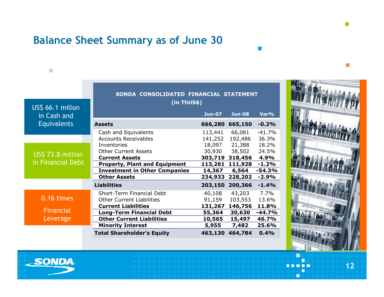# Balance Sheet Summary as of June 30

|                                 | SONDA CONSOLIDATED FINANCIAL STATEMENT                                                                                       |                                         |                                        |                                        |
|---------------------------------|------------------------------------------------------------------------------------------------------------------------------|-----------------------------------------|----------------------------------------|----------------------------------------|
| US\$ 66.1 millon<br>in Cash and | (in ThUS\$)                                                                                                                  | <b>Jun-07</b>                           | <b>Jun-08</b>                          | Var%                                   |
| Equivalents                     | <b>Assets</b>                                                                                                                | 666,280                                 | 665,150                                | $-0.2%$                                |
|                                 | Cash and Equivalents<br><b>Accounts Receivables</b>                                                                          | 113,441<br>141,252                      | 66,081<br>192,486                      | $-41.7%$<br>36.3%                      |
| US\$ 73.8 million               | Inventories<br><b>Other Current Assets</b>                                                                                   |                                         | 18,097 21,388<br>30,930 38,502         | 18.2%<br>24.5%                         |
| in Financial Debt               | <b>Current Assets</b><br><b>Property, Plant and Equipment</b><br><b>Investment in Other Companies</b><br><b>Other Assets</b> | 303,719<br>113,261<br>14,367<br>234,933 | 318,456<br>111,928<br>6,564<br>228,202 | 4.9%<br>$-1.2%$<br>$-54.3%$<br>$-2.9%$ |
|                                 | <b>Liabilities</b>                                                                                                           | 203,150                                 | 200,366                                | $-1.4%$                                |
| 0.16 times                      | Short-Term Financial Debt<br><b>Other Current Liabilities</b>                                                                | 40,108<br>91,159                        | 43,203<br>103,553                      | 7.7%<br>13.6%                          |
| Financial<br>Leverage           | <b>Current Liabilities</b><br><b>Long-Term Financial Debt</b><br><b>Other Current Liabilities</b>                            | 131,267<br>55,364<br>10,565             | 146,756<br>30,630<br>15,497            | 11.8%<br>$-44.7%$<br>46.7%             |
|                                 | <b>Minority Interest</b>                                                                                                     | 5,955                                   | 7,482                                  | 25.6%                                  |
|                                 | <b>Total Shareholder's Equity</b>                                                                                            | 463,130                                 | 464,784                                | 0.4%                                   |



 $\mathbb{R}^3$ 

 $\mathbb{R}^n$ 

12

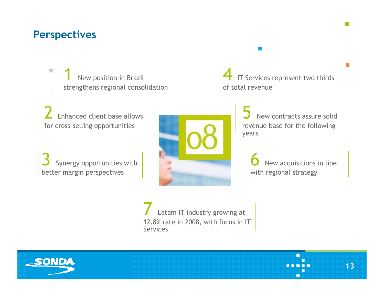#### **Perspectives**

New position in Brazil strengthens regional consolidation

2Enhanced client base allows for cross-selling opportunities

Synergy opportunities with better margin perspectives



4**T** IT Services represent two thirds<br>of total revenue of total revenue

> 5 New contracts assure solid revenue base for the following years

6 New acquisitions in line with regional strategy

 $\Box$ 

13

7I Latam IT industry growing at<br>12.8% rate in 2008, with focus in IT Services